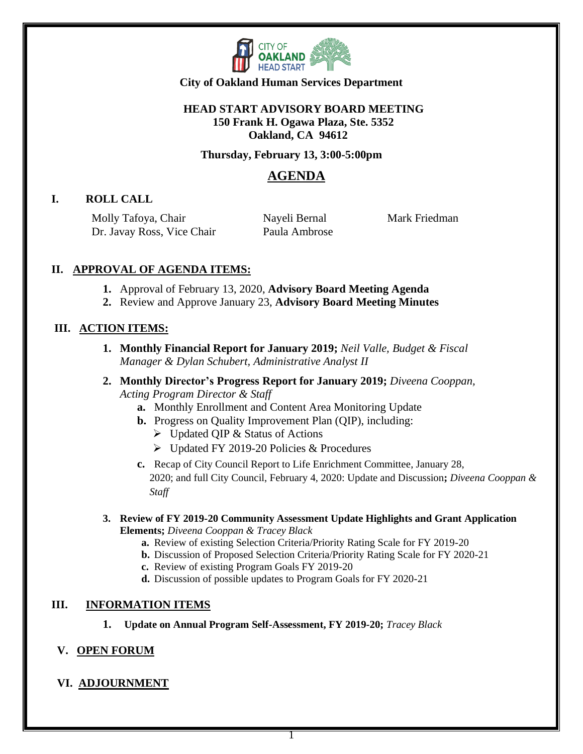

## **HEAD START ADVISORY BOARD MEETING 150 Frank H. Ogawa Plaza, Ste. 5352 Oakland, CA 94612**

#### **Thursday, February 13, 3:00-5:00pm**

## **AGENDA**

## **I. ROLL CALL**

Molly Tafoya, Chair Dr. Javay Ross, Vice Chair  Nayeli Bernal Paula Ambrose Mark Friedman

## **II. APPROVAL OF AGENDA ITEMS:**

- **1.** Approval of February 13, 2020, **Advisory Board Meeting Agenda**
- **2.** Review and Approve January 23, **Advisory Board Meeting Minutes**

## **III. ACTION ITEMS:**

- **1. Monthly Financial Report for January 2019;** *Neil Valle, Budget & Fiscal Manager & Dylan Schubert, Administrative Analyst II*
- **2. Monthly Director's Progress Report for January 2019;** *Diveena Cooppan, Acting Program Director & Staff*
	- **a.** Monthly Enrollment and Content Area Monitoring Update
	- **b.** Progress on Quality Improvement Plan (QIP), including:
		- ➢ Updated QIP & Status of Actions
		- ➢ Updated FY 2019-20 Policies & Procedures
	- **c.** Recap of City Council Report to Life Enrichment Committee, January 28, 2020; and full City Council, February 4, 2020: Update and Discussion**;** *Diveena Cooppan & Staff*
- **3. Review of FY 2019-20 Community Assessment Update Highlights and Grant Application Elements;** *Diveena Cooppan & Tracey Black*
	- **a.** Review of existing Selection Criteria/Priority Rating Scale for FY 2019-20
	- **b.** Discussion of Proposed Selection Criteria/Priority Rating Scale for FY 2020-21
	- **c.** Review of existing Program Goals FY 2019-20
	- **d.** Discussion of possible updates to Program Goals for FY 2020-21

## **III. INFORMATION ITEMS**

**1. Update on Annual Program Self-Assessment, FY 2019-20;** *Tracey Black*

## **V. OPEN FORUM**

## **VI. ADJOURNMENT**

1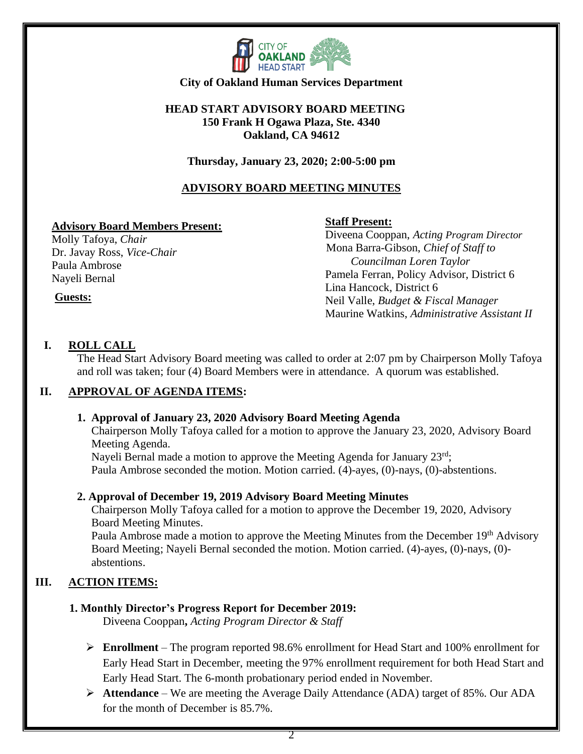

## **HEAD START ADVISORY BOARD MEETING 150 Frank H Ogawa Plaza, Ste. 4340 Oakland, CA 94612**

## **Thursday, January 23, 2020; 2:00-5:00 pm**

## **ADVISORY BOARD MEETING MINUTES**

## **Advisory Board Members Present:**

Molly Tafoya, *Chair* Dr. Javay Ross, *Vice-Chair* Paula Ambrose Nayeli Bernal

## **Staff Present:**

 Diveena Cooppan, *Acting Program Director* Mona Barra-Gibson, *Chief of Staff to Councilman Loren Taylor* Pamela Ferran, Policy Advisor, District 6 Lina Hancock, District 6 Neil Valle, *Budget & Fiscal Manager* Maurine Watkins, *Administrative Assistant II*

# **Guests:**

## **I. ROLL CALL**

The Head Start Advisory Board meeting was called to order at 2:07 pm by Chairperson Molly Tafoya and roll was taken; four (4) Board Members were in attendance. A quorum was established.

## **II. APPROVAL OF AGENDA ITEMS:**

## **1. Approval of January 23, 2020 Advisory Board Meeting Agenda**

 Chairperson Molly Tafoya called for a motion to approve the January 23, 2020, Advisory Board Meeting Agenda.

Nayeli Bernal made a motion to approve the Meeting Agenda for January  $23<sup>rd</sup>$ ; Paula Ambrose seconded the motion. Motion carried. (4)-ayes, (0)-nays, (0)-abstentions.

## **2. Approval of December 19, 2019 Advisory Board Meeting Minutes**

 Chairperson Molly Tafoya called for a motion to approve the December 19, 2020, Advisory Board Meeting Minutes.

Paula Ambrose made a motion to approve the Meeting Minutes from the December 19<sup>th</sup> Advisory Board Meeting; Nayeli Bernal seconded the motion. Motion carried. (4)-ayes, (0)-nays, (0) abstentions.

## **III. ACTION ITEMS:**

## **1. Monthly Director's Progress Report for December 2019:**

Diveena Cooppan**,** *Acting Program Director & Staff*

- ➢ **Enrollment** The program reported 98.6% enrollment for Head Start and 100% enrollment for Early Head Start in December, meeting the 97% enrollment requirement for both Head Start and Early Head Start. The 6-month probationary period ended in November.
- ➢ **Attendance** We are meeting the Average Daily Attendance (ADA) target of 85%. Our ADA for the month of December is 85.7%.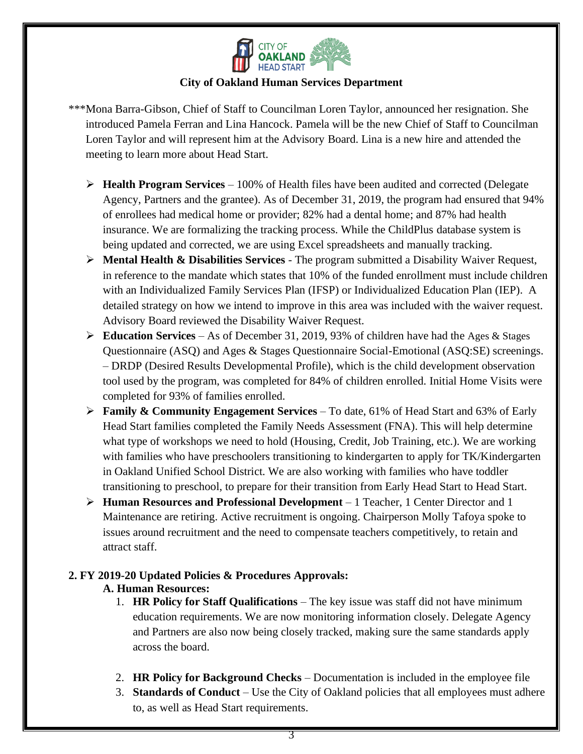

\*\*\*Mona Barra-Gibson, Chief of Staff to Councilman Loren Taylor, announced her resignation. She introduced Pamela Ferran and Lina Hancock. Pamela will be the new Chief of Staff to Councilman Loren Taylor and will represent him at the Advisory Board. Lina is a new hire and attended the meeting to learn more about Head Start.

- ➢ **Health Program Services** 100% of Health files have been audited and corrected (Delegate Agency, Partners and the grantee). As of December 31, 2019, the program had ensured that 94% of enrollees had medical home or provider; 82% had a dental home; and 87% had health insurance. We are formalizing the tracking process. While the ChildPlus database system is being updated and corrected, we are using Excel spreadsheets and manually tracking.
- ➢ **Mental Health & Disabilities Services** The program submitted a Disability Waiver Request, in reference to the mandate which states that 10% of the funded enrollment must include children with an Individualized Family Services Plan (IFSP) or Individualized Education Plan (IEP). A detailed strategy on how we intend to improve in this area was included with the waiver request. Advisory Board reviewed the Disability Waiver Request.
- ➢ **Education Services** As of December 31, 2019, 93% of children have had the Ages & Stages Questionnaire (ASQ) and Ages & Stages Questionnaire Social-Emotional (ASQ:SE) screenings. – DRDP (Desired Results Developmental Profile), which is the child development observation tool used by the program, was completed for 84% of children enrolled. Initial Home Visits were completed for 93% of families enrolled.
- ➢ **Family & Community Engagement Services** To date, 61% of Head Start and 63% of Early Head Start families completed the Family Needs Assessment (FNA). This will help determine what type of workshops we need to hold (Housing, Credit, Job Training, etc.). We are working with families who have preschoolers transitioning to kindergarten to apply for TK/Kindergarten in Oakland Unified School District. We are also working with families who have toddler transitioning to preschool, to prepare for their transition from Early Head Start to Head Start.
- ➢ **Human Resources and Professional Development** 1 Teacher, 1 Center Director and 1 Maintenance are retiring. Active recruitment is ongoing. Chairperson Molly Tafoya spoke to issues around recruitment and the need to compensate teachers competitively, to retain and attract staff.

## **2. FY 2019-20 Updated Policies & Procedures Approvals:**

## **A. Human Resources:**

- 1. **HR Policy for Staff Qualifications** The key issue was staff did not have minimum education requirements. We are now monitoring information closely. Delegate Agency and Partners are also now being closely tracked, making sure the same standards apply across the board.
- 2. **HR Policy for Background Checks** Documentation is included in the employee file
- 3. **Standards of Conduct** Use the City of Oakland policies that all employees must adhere to, as well as Head Start requirements.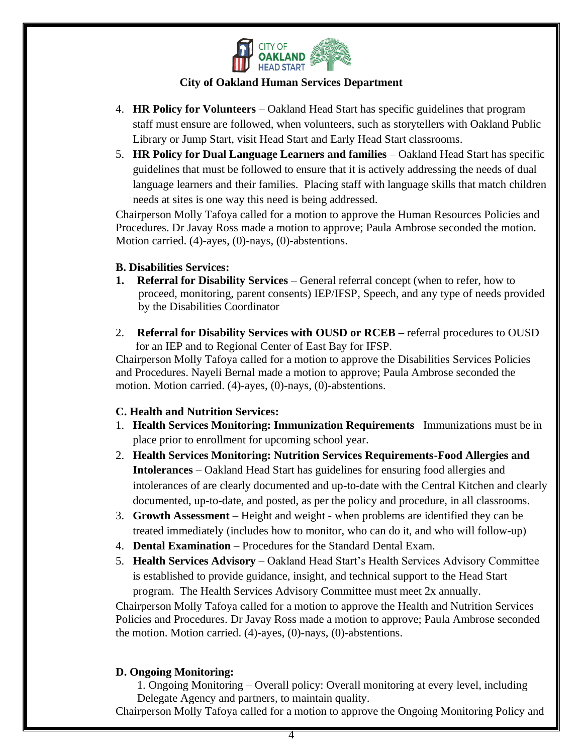

- 4. **HR Policy for Volunteers** Oakland Head Start has specific guidelines that program staff must ensure are followed, when volunteers, such as storytellers with Oakland Public Library or Jump Start, visit Head Start and Early Head Start classrooms.
- 5. **HR Policy for Dual Language Learners and families** Oakland Head Start has specific guidelines that must be followed to ensure that it is actively addressing the needs of dual language learners and their families. Placing staff with language skills that match children needs at sites is one way this need is being addressed.

Chairperson Molly Tafoya called for a motion to approve the Human Resources Policies and Procedures. Dr Javay Ross made a motion to approve; Paula Ambrose seconded the motion. Motion carried. (4)-ayes, (0)-nays, (0)-abstentions.

## **B. Disabilities Services:**

- **1. Referral for Disability Services** General referral concept (when to refer, how to proceed, monitoring, parent consents) IEP/IFSP, Speech, and any type of needs provided by the Disabilities Coordinator
- 2. **Referral for Disability Services with OUSD or RCEB –** referral procedures to OUSD for an IEP and to Regional Center of East Bay for IFSP.

Chairperson Molly Tafoya called for a motion to approve the Disabilities Services Policies and Procedures. Nayeli Bernal made a motion to approve; Paula Ambrose seconded the motion. Motion carried. (4)-ayes, (0)-nays, (0)-abstentions.

## **C. Health and Nutrition Services:**

- 1. **Health Services Monitoring: Immunization Requirements** –Immunizations must be in place prior to enrollment for upcoming school year.
- 2. **Health Services Monitoring: Nutrition Services Requirements-Food Allergies and Intolerances** – Oakland Head Start has guidelines for ensuring food allergies and intolerances of are clearly documented and up-to-date with the Central Kitchen and clearly documented, up-to-date, and posted, as per the policy and procedure, in all classrooms.
- 3. **Growth Assessment** Height and weight when problems are identified they can be treated immediately (includes how to monitor, who can do it, and who will follow-up)
- 4. **Dental Examination** Procedures for the Standard Dental Exam.
- 5. **Health Services Advisory** Oakland Head Start's Health Services Advisory Committee is established to provide guidance, insight, and technical support to the Head Start program. The Health Services Advisory Committee must meet 2x annually.

Chairperson Molly Tafoya called for a motion to approve the Health and Nutrition Services Policies and Procedures. Dr Javay Ross made a motion to approve; Paula Ambrose seconded the motion. Motion carried. (4)-ayes, (0)-nays, (0)-abstentions.

## **D. Ongoing Monitoring:**

1. Ongoing Monitoring – Overall policy: Overall monitoring at every level, including Delegate Agency and partners, to maintain quality.

Chairperson Molly Tafoya called for a motion to approve the Ongoing Monitoring Policy and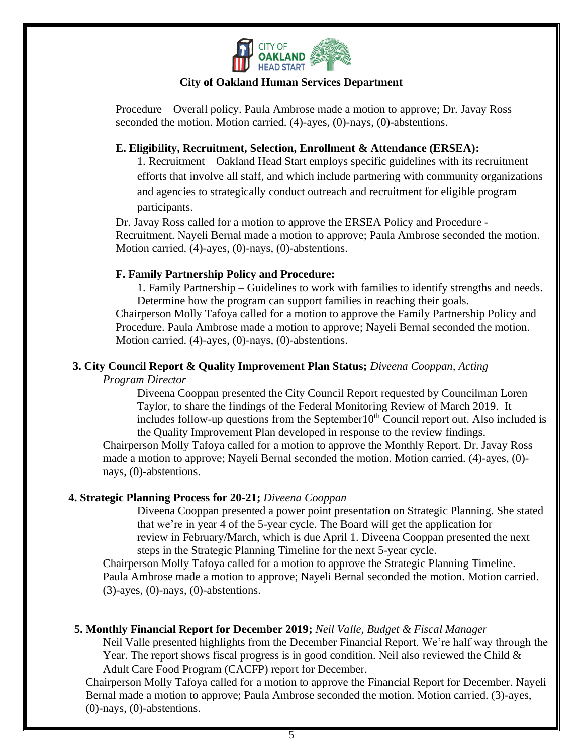

Procedure – Overall policy. Paula Ambrose made a motion to approve; Dr. Javay Ross seconded the motion. Motion carried. (4)-ayes, (0)-nays, (0)-abstentions.

#### **E. Eligibility, Recruitment, Selection, Enrollment & Attendance (ERSEA):**

1. Recruitment – Oakland Head Start employs specific guidelines with its recruitment efforts that involve all staff, and which include partnering with community organizations and agencies to strategically conduct outreach and recruitment for eligible program participants.

Dr. Javay Ross called for a motion to approve the ERSEA Policy and Procedure - Recruitment. Nayeli Bernal made a motion to approve; Paula Ambrose seconded the motion. Motion carried. (4)-ayes, (0)-nays, (0)-abstentions.

#### **F. Family Partnership Policy and Procedure:**

1. Family Partnership – Guidelines to work with families to identify strengths and needs. Determine how the program can support families in reaching their goals.

Chairperson Molly Tafoya called for a motion to approve the Family Partnership Policy and Procedure. Paula Ambrose made a motion to approve; Nayeli Bernal seconded the motion. Motion carried. (4)-ayes, (0)-nays, (0)-abstentions.

## **3. City Council Report & Quality Improvement Plan Status;** *Diveena Cooppan, Acting*

*Program Director*

Diveena Cooppan presented the City Council Report requested by Councilman Loren Taylor, to share the findings of the Federal Monitoring Review of March 2019. It includes follow-up questions from the September  $10<sup>th</sup>$  Council report out. Also included is the Quality Improvement Plan developed in response to the review findings.

Chairperson Molly Tafoya called for a motion to approve the Monthly Report. Dr. Javay Ross made a motion to approve; Nayeli Bernal seconded the motion. Motion carried. (4)-ayes, (0) nays, (0)-abstentions.

#### **4. Strategic Planning Process for 20-21;** *Diveena Cooppan*

Diveena Cooppan presented a power point presentation on Strategic Planning. She stated that we're in year 4 of the 5-year cycle. The Board will get the application for review in February/March, which is due April 1. Diveena Cooppan presented the next steps in the Strategic Planning Timeline for the next 5-year cycle.

Chairperson Molly Tafoya called for a motion to approve the Strategic Planning Timeline. Paula Ambrose made a motion to approve; Nayeli Bernal seconded the motion. Motion carried. (3)-ayes, (0)-nays, (0)-abstentions.

#### **5. Monthly Financial Report for December 2019;** *Neil Valle, Budget & Fiscal Manager*

Neil Valle presented highlights from the December Financial Report. We're half way through the Year. The report shows fiscal progress is in good condition. Neil also reviewed the Child & Adult Care Food Program (CACFP) report for December.

Chairperson Molly Tafoya called for a motion to approve the Financial Report for December. Nayeli Bernal made a motion to approve; Paula Ambrose seconded the motion. Motion carried. (3)-ayes, (0)-nays, (0)-abstentions.